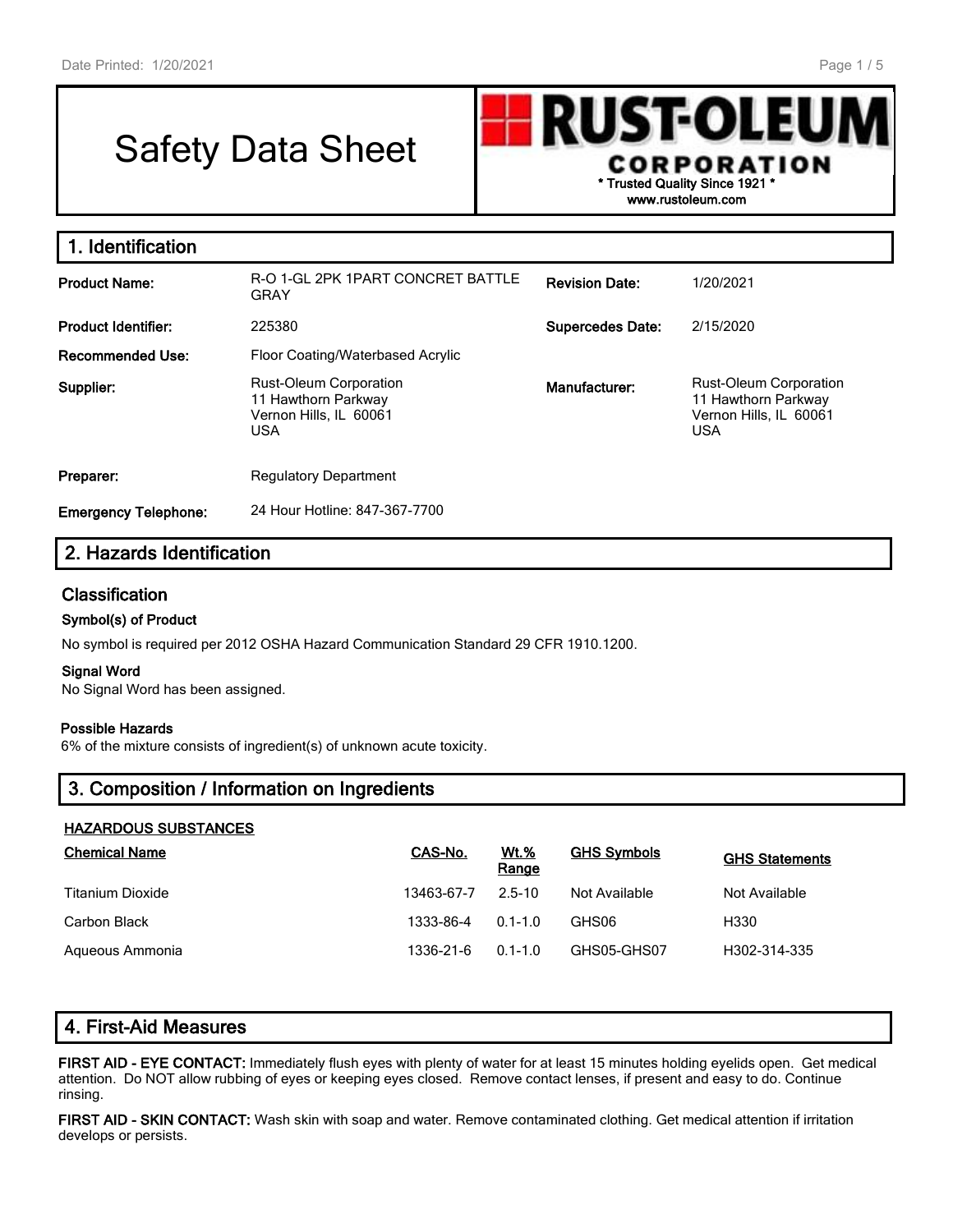# Safety Data Sheet



| 1. Identification           |                                                                                              |                         |                                                                                              |
|-----------------------------|----------------------------------------------------------------------------------------------|-------------------------|----------------------------------------------------------------------------------------------|
| <b>Product Name:</b>        | R-O 1-GL 2PK 1PART CONCRET BATTLE<br><b>GRAY</b>                                             | <b>Revision Date:</b>   | 1/20/2021                                                                                    |
| <b>Product Identifier:</b>  | 225380                                                                                       | <b>Supercedes Date:</b> | 2/15/2020                                                                                    |
| Recommended Use:            | Floor Coating/Waterbased Acrylic                                                             |                         |                                                                                              |
| Supplier:                   | <b>Rust-Oleum Corporation</b><br>11 Hawthorn Parkway<br>Vernon Hills, IL 60061<br><b>USA</b> | Manufacturer:           | <b>Rust-Oleum Corporation</b><br>11 Hawthorn Parkway<br>Vernon Hills, IL 60061<br><b>USA</b> |
| Preparer:                   | <b>Regulatory Department</b>                                                                 |                         |                                                                                              |
| <b>Emergency Telephone:</b> | 24 Hour Hotline: 847-367-7700                                                                |                         |                                                                                              |

# **2. Hazards Identification**

### **Classification**

#### **Symbol(s) of Product**

No symbol is required per 2012 OSHA Hazard Communication Standard 29 CFR 1910.1200.

#### **Signal Word**

No Signal Word has been assigned.

#### **Possible Hazards**

6% of the mixture consists of ingredient(s) of unknown acute toxicity.

# **3. Composition / Information on Ingredients**

#### **HAZARDOUS SUBSTANCES**

| <b>Chemical Name</b> | CAS-No.    | <u>Wt.%</u><br>Range | <b>GHS Symbols</b> | <b>GHS Statements</b> |
|----------------------|------------|----------------------|--------------------|-----------------------|
| Titanium Dioxide     | 13463-67-7 | 2.5-10               | Not Available      | Not Available         |
| Carbon Black         | 1333-86-4  | $0.1 - 1.0$          | GHS06              | H330                  |
| Aqueous Ammonia      | 1336-21-6  | $0.1 - 1.0$          | GHS05-GHS07        | H302-314-335          |

# **4. First-Aid Measures**

**FIRST AID - EYE CONTACT:** Immediately flush eyes with plenty of water for at least 15 minutes holding eyelids open. Get medical attention. Do NOT allow rubbing of eyes or keeping eyes closed. Remove contact lenses, if present and easy to do. Continue rinsing.

**FIRST AID - SKIN CONTACT:** Wash skin with soap and water. Remove contaminated clothing. Get medical attention if irritation develops or persists.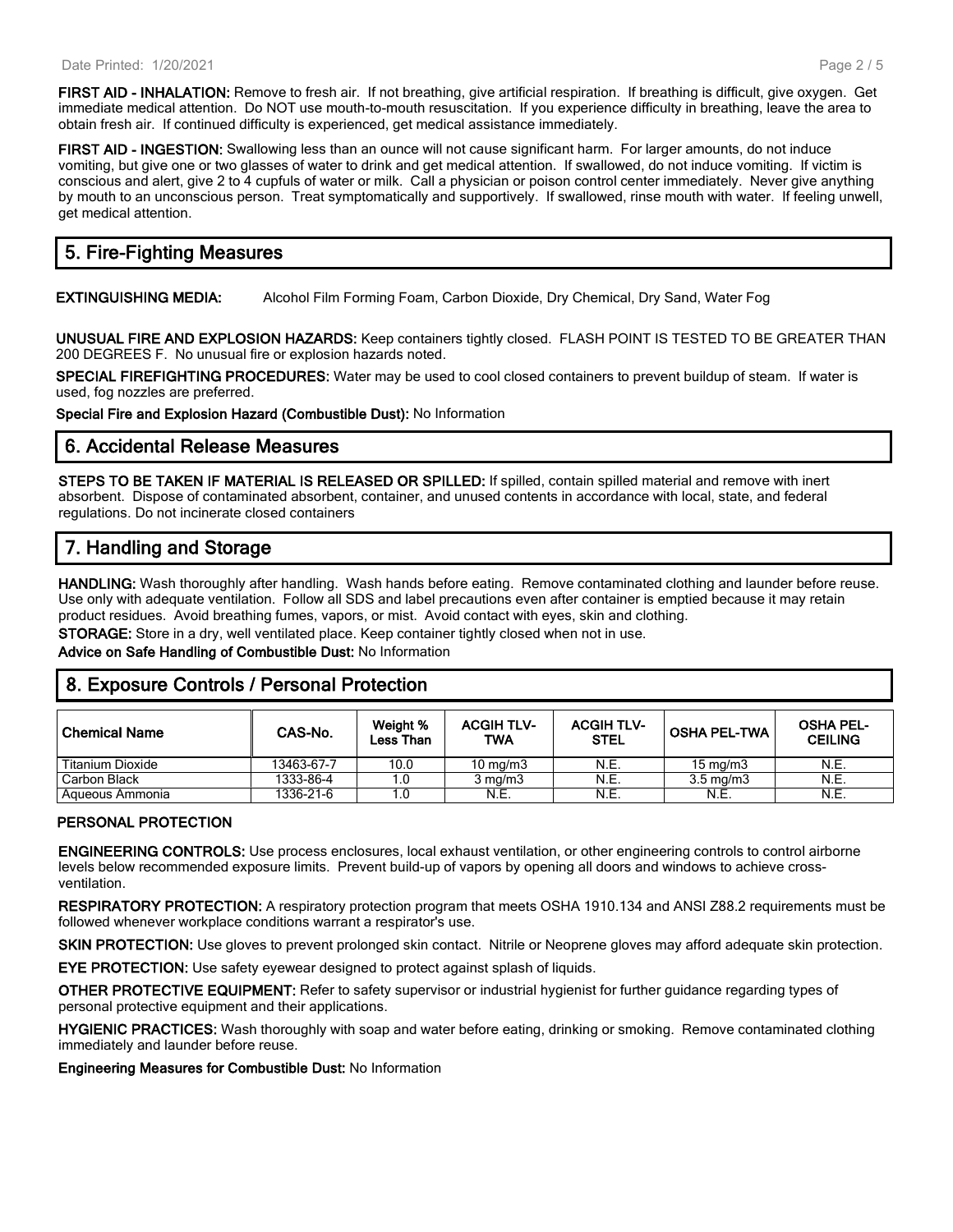**FIRST AID - INHALATION:** Remove to fresh air. If not breathing, give artificial respiration. If breathing is difficult, give oxygen. Get immediate medical attention. Do NOT use mouth-to-mouth resuscitation. If you experience difficulty in breathing, leave the area to obtain fresh air. If continued difficulty is experienced, get medical assistance immediately.

**FIRST AID - INGESTION:** Swallowing less than an ounce will not cause significant harm. For larger amounts, do not induce vomiting, but give one or two glasses of water to drink and get medical attention. If swallowed, do not induce vomiting. If victim is conscious and alert, give 2 to 4 cupfuls of water or milk. Call a physician or poison control center immediately. Never give anything by mouth to an unconscious person. Treat symptomatically and supportively. If swallowed, rinse mouth with water. If feeling unwell, get medical attention.

# **5. Fire-Fighting Measures**

**EXTINGUISHING MEDIA:** Alcohol Film Forming Foam, Carbon Dioxide, Dry Chemical, Dry Sand, Water Fog

**UNUSUAL FIRE AND EXPLOSION HAZARDS:** Keep containers tightly closed. FLASH POINT IS TESTED TO BE GREATER THAN 200 DEGREES F. No unusual fire or explosion hazards noted.

**SPECIAL FIREFIGHTING PROCEDURES:** Water may be used to cool closed containers to prevent buildup of steam. If water is used, fog nozzles are preferred.

**Special Fire and Explosion Hazard (Combustible Dust):** No Information

#### **6. Accidental Release Measures**

**STEPS TO BE TAKEN IF MATERIAL IS RELEASED OR SPILLED:** If spilled, contain spilled material and remove with inert absorbent. Dispose of contaminated absorbent, container, and unused contents in accordance with local, state, and federal regulations. Do not incinerate closed containers

## **7. Handling and Storage**

**HANDLING:** Wash thoroughly after handling. Wash hands before eating. Remove contaminated clothing and launder before reuse. Use only with adequate ventilation. Follow all SDS and label precautions even after container is emptied because it may retain product residues. Avoid breathing fumes, vapors, or mist. Avoid contact with eyes, skin and clothing.

**STORAGE:** Store in a dry, well ventilated place. Keep container tightly closed when not in use.

**Advice on Safe Handling of Combustible Dust:** No Information

### **8. Exposure Controls / Personal Protection**

| l Chemical Name  | CAS-No.    | Weight %<br>Less Than | <b>ACGIH TLV-</b><br><b>TWA</b> | <b>ACGIH TLV-</b><br><b>STEL</b> | ⊦OSHA PEL-TWA      | <b>OSHA PEL-</b><br><b>CEILING</b> |
|------------------|------------|-----------------------|---------------------------------|----------------------------------|--------------------|------------------------------------|
| Titanium Dioxide | 13463-67-7 | 10.0                  | 10 mg/m $3$                     | N.E.                             | $15 \text{ mg/m}$  | N.E.                               |
| Carbon Black     | 1333-86-4  |                       | $3 \text{ ma/m}$                | N.E.                             | $3.5 \text{ ma/m}$ | N.E.                               |
| Aqueous Ammonia  | 1336-21-6  |                       | N.E.                            | N.E.                             | N.E.               | N.E.                               |

#### **PERSONAL PROTECTION**

**ENGINEERING CONTROLS:** Use process enclosures, local exhaust ventilation, or other engineering controls to control airborne levels below recommended exposure limits. Prevent build-up of vapors by opening all doors and windows to achieve crossventilation.

**RESPIRATORY PROTECTION:** A respiratory protection program that meets OSHA 1910.134 and ANSI Z88.2 requirements must be followed whenever workplace conditions warrant a respirator's use.

**SKIN PROTECTION:** Use gloves to prevent prolonged skin contact. Nitrile or Neoprene gloves may afford adequate skin protection.

**EYE PROTECTION:** Use safety eyewear designed to protect against splash of liquids.

**OTHER PROTECTIVE EQUIPMENT:** Refer to safety supervisor or industrial hygienist for further guidance regarding types of personal protective equipment and their applications.

**HYGIENIC PRACTICES:** Wash thoroughly with soap and water before eating, drinking or smoking. Remove contaminated clothing immediately and launder before reuse.

**Engineering Measures for Combustible Dust:** No Information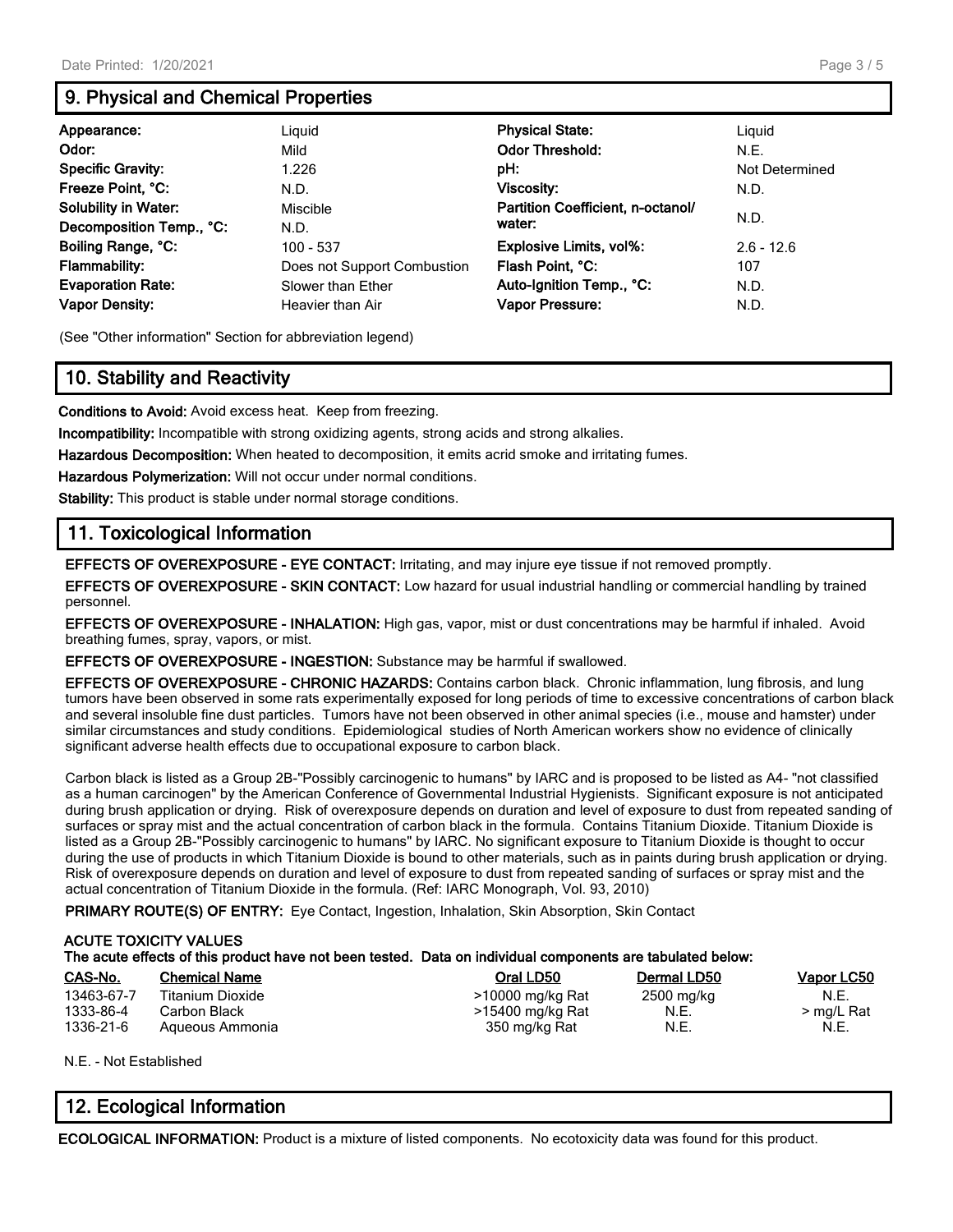# **9. Physical and Chemical Properties**

| Appearance:<br>Odor:<br><b>Specific Gravity:</b><br>Freeze Point, °C:<br><b>Solubility in Water:</b>                        | Liguid<br>Mild<br>1.226<br>N.D.<br>Miscible                                               | <b>Physical State:</b><br><b>Odor Threshold:</b><br>pH:<br>Viscosity:<br>Partition Coefficient, n-octanol/<br>water: | Liguid<br>N.E.<br>Not Determined<br>N.D.<br>N.D. |
|-----------------------------------------------------------------------------------------------------------------------------|-------------------------------------------------------------------------------------------|----------------------------------------------------------------------------------------------------------------------|--------------------------------------------------|
| Decomposition Temp., °C:<br>Boiling Range, °C:<br><b>Flammability:</b><br><b>Evaporation Rate:</b><br><b>Vapor Density:</b> | N.D.<br>100 - 537<br>Does not Support Combustion<br>Slower than Ether<br>Heavier than Air | Explosive Limits, vol%:<br>Flash Point, °C:<br>Auto-Ignition Temp., °C:<br>Vapor Pressure:                           | $2.6 - 12.6$<br>107<br>N.D.<br>N.D.              |

(See "Other information" Section for abbreviation legend)

# **10. Stability and Reactivity**

**Conditions to Avoid:** Avoid excess heat. Keep from freezing.

**Incompatibility:** Incompatible with strong oxidizing agents, strong acids and strong alkalies.

**Hazardous Decomposition:** When heated to decomposition, it emits acrid smoke and irritating fumes.

**Hazardous Polymerization:** Will not occur under normal conditions.

**Stability:** This product is stable under normal storage conditions.

# **11. Toxicological Information**

**EFFECTS OF OVEREXPOSURE - EYE CONTACT:** Irritating, and may injure eye tissue if not removed promptly.

**EFFECTS OF OVEREXPOSURE - SKIN CONTACT:** Low hazard for usual industrial handling or commercial handling by trained personnel.

**EFFECTS OF OVEREXPOSURE - INHALATION:** High gas, vapor, mist or dust concentrations may be harmful if inhaled. Avoid breathing fumes, spray, vapors, or mist.

**EFFECTS OF OVEREXPOSURE - INGESTION:** Substance may be harmful if swallowed.

**EFFECTS OF OVEREXPOSURE - CHRONIC HAZARDS:** Contains carbon black. Chronic inflammation, lung fibrosis, and lung tumors have been observed in some rats experimentally exposed for long periods of time to excessive concentrations of carbon black and several insoluble fine dust particles. Tumors have not been observed in other animal species (i.e., mouse and hamster) under similar circumstances and study conditions. Epidemiological studies of North American workers show no evidence of clinically significant adverse health effects due to occupational exposure to carbon black.

Carbon black is listed as a Group 2B-"Possibly carcinogenic to humans" by IARC and is proposed to be listed as A4- "not classified as a human carcinogen" by the American Conference of Governmental Industrial Hygienists. Significant exposure is not anticipated during brush application or drying. Risk of overexposure depends on duration and level of exposure to dust from repeated sanding of surfaces or spray mist and the actual concentration of carbon black in the formula. Contains Titanium Dioxide. Titanium Dioxide is listed as a Group 2B-"Possibly carcinogenic to humans" by IARC. No significant exposure to Titanium Dioxide is thought to occur during the use of products in which Titanium Dioxide is bound to other materials, such as in paints during brush application or drying. Risk of overexposure depends on duration and level of exposure to dust from repeated sanding of surfaces or spray mist and the actual concentration of Titanium Dioxide in the formula. (Ref: IARC Monograph, Vol. 93, 2010)

**PRIMARY ROUTE(S) OF ENTRY:** Eye Contact, Ingestion, Inhalation, Skin Absorption, Skin Contact

|            | <b>ACUTE TOXICITY VALUES</b> | The acute effects of this product have not been tested. Data on individual components are tabulated below: |             |            |
|------------|------------------------------|------------------------------------------------------------------------------------------------------------|-------------|------------|
| CAS-No.    | <b>Chemical Name</b>         | Oral LD50                                                                                                  | Dermal LD50 | Vapor LC50 |
| 13463-67-7 | <b>Titanium Dioxide</b>      | >10000 mg/kg Rat                                                                                           | 2500 mg/kg  | N.E.       |
| 1333-86-4  | Carbon Black                 | >15400 mg/kg Rat                                                                                           | N.E.        | > mg/L Rat |
| 1336-21-6  | Aqueous Ammonia              | 350 mg/kg Rat                                                                                              | N.E.        | N.E.       |

N.E. - Not Established

# **12. Ecological Information**

**ECOLOGICAL INFORMATION:** Product is a mixture of listed components. No ecotoxicity data was found for this product.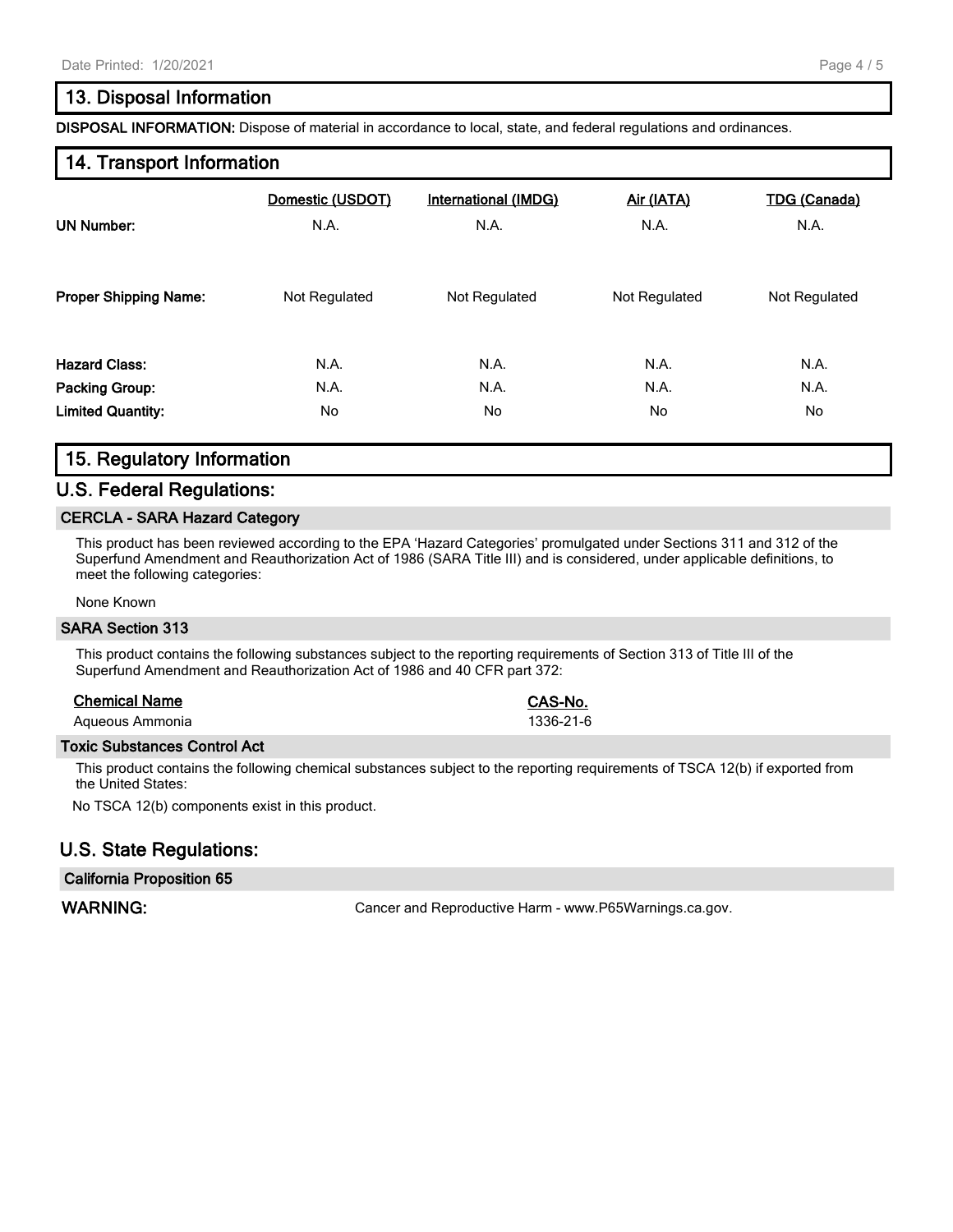## **13. Disposal Information**

**DISPOSAL INFORMATION:** Dispose of material in accordance to local, state, and federal regulations and ordinances.

#### **14. Transport Information**

| <b>UN Number:</b>            | Domestic (USDOT) | International (IMDG) | Air (IATA)    | <b>TDG (Canada)</b> |
|------------------------------|------------------|----------------------|---------------|---------------------|
|                              | N.A.             | N.A.                 | N.A.          | N.A.                |
| <b>Proper Shipping Name:</b> | Not Regulated    | Not Regulated        | Not Regulated | Not Regulated       |
| <b>Hazard Class:</b>         | N.A.             | N.A.                 | N.A.          | N.A.                |
| <b>Packing Group:</b>        | N.A.             | N.A.                 | N.A.          | N.A.                |
| <b>Limited Quantity:</b>     | No.              | No.                  | No.           | No.                 |

# **15. Regulatory Information**

#### **U.S. Federal Regulations:**

#### **CERCLA - SARA Hazard Category**

This product has been reviewed according to the EPA 'Hazard Categories' promulgated under Sections 311 and 312 of the Superfund Amendment and Reauthorization Act of 1986 (SARA Title III) and is considered, under applicable definitions, to meet the following categories:

None Known

#### **SARA Section 313**

This product contains the following substances subject to the reporting requirements of Section 313 of Title III of the Superfund Amendment and Reauthorization Act of 1986 and 40 CFR part 372:

#### **Chemical Name CAS-No.**

Aqueous Ammonia 2002 1336-21-6

#### **Toxic Substances Control Act**

This product contains the following chemical substances subject to the reporting requirements of TSCA 12(b) if exported from the United States:

No TSCA 12(b) components exist in this product.

### **U.S. State Regulations:**

#### **California Proposition 65**

WARNING: **WARNING:** Cancer and Reproductive Harm - www.P65Warnings.ca.gov.